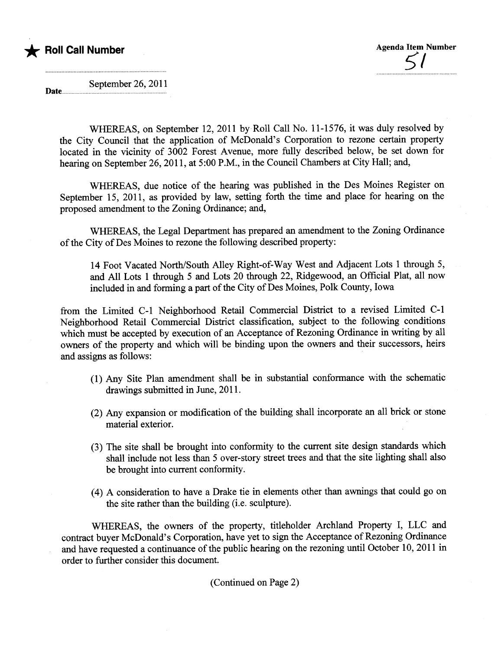

September 26, 2011 Date....

> WHEREAS, on September 12,2011 by Roll Call No. 11-1576, it was duly resolved by the City Council that the application of McDonald's Corporation to rezone certain property located in the vicinity of 3002 Forest Avenue, more fully described below, be set down for hearing on September 26, 2011, at 5:00 P.M., in the Council Chambers at City Hall; and,

> WHEREAS, due notice of the hearing was published in the Des Moines Register on September 15, 2011, as provided by law, setting forth the time and place for hearing on the proposed amendment to the Zoning Ordinance; and,

> WHEREAS, the Legal Deparment has prepared an amendment to the Zoning Ordinance of the City of Des Moines to rezone the following described property:

14 Foot Vacated North/South Alley Right-of-Way West and Adjacent Lots 1 through 5, and All Lots 1 through 5 and Lots 20 through 22, Ridgewood, an Official Plat, all now included in and forming a part of the City of Des Moines, Polk County, Iowa

from the Limited C-1 Neighborhood Retail Commercial District to a revised Limited C-1 Neighborhood Retail Commercial District classification, subject to the following conditions which must be accepted by execution of an Acceptance of Rezoning Ordinance in writing by all owners of the property and which wil be binding upon the owners and their successors, heirs and assigns as follows:

- (1) Any Site Plan amendment shall be in substatial conformance with the schematic drawings submitted in June, 2011.
- (2) Any expansion or modification of the building shall incorporate an all brick or stone material exterior.
- (3) The site shall be brought into conformity to the curent site design standards which shall include not less than 5 over-story street trees and that the site lighting shall also be brought into curent conformity.
- (4) A consideration to have a Drake tie in elements other than awnings that could go on the site rather than the building (i.e. sculptue).

WHEREAS, the owners of the property, titleholder Archland Property I, LLC and contract buyer McDonald's Corporation, have yet to sign the Acceptance of Rezoning Ordinance and have requested a continuance of the public hearng on the rezoning until October 10, 2011 in order to further consider this document.

(Continued on Page 2)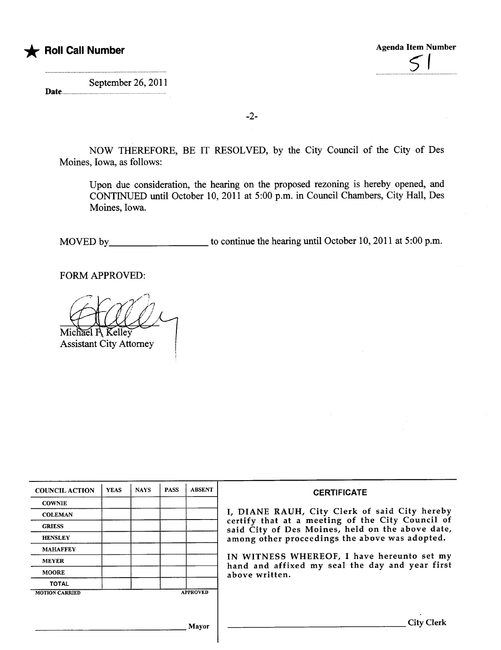

 $5<sub>1</sub>$ 

September 26, 2011 Date.....................................................

-2-

NOW THEREFORE, BE IT RESOLVED, by the City Council of the City of Des Moines, Iowa, as follows:

Upon due consideration, the hearing on the proposed rezoning is hereby opened, and CONTINED until October 10, 2011 at 5:00 p.m. in Council Chambers, City Hall, Des Moines, Iowa.

MOVED by to continue the hearing until October 10, 2011 at 5:00 p.m.

FORM APPROVED:

Michael R Kelley

**Assistant City Attorney** 

| <b>COUNCIL ACTION</b> | <b>YEAS</b> | <b>NAYS</b> | <b>PASS</b> | <b>ABSENT</b>   | <b>CERTIFICATE</b>                                                                                   |
|-----------------------|-------------|-------------|-------------|-----------------|------------------------------------------------------------------------------------------------------|
| <b>COWNIE</b>         |             |             |             |                 |                                                                                                      |
| <b>COLEMAN</b>        |             |             |             |                 | I, DIANE RAUH, City Clerk of said City hereby                                                        |
| <b>GRIESS</b>         |             |             |             |                 | certify that at a meeting of the City Council of<br>said City of Des Moines, held on the above date, |
| <b>HENSLEY</b>        |             |             |             |                 | among other proceedings the above was adopted.                                                       |
| <b>MAHAFFEY</b>       |             |             |             |                 |                                                                                                      |
| <b>MEYER</b>          |             |             |             |                 | IN WITNESS WHEREOF, I have hereunto set my<br>hand and affixed my seal the day and year first        |
| <b>MOORE</b>          |             |             |             |                 | above written.                                                                                       |
| <b>TOTAL</b>          |             |             |             |                 |                                                                                                      |
| <b>MOTION CARRIED</b> |             |             |             | <b>APPROVED</b> |                                                                                                      |
|                       |             |             |             |                 |                                                                                                      |
|                       |             |             |             | Mayor           | <b>City Clerk</b>                                                                                    |

ł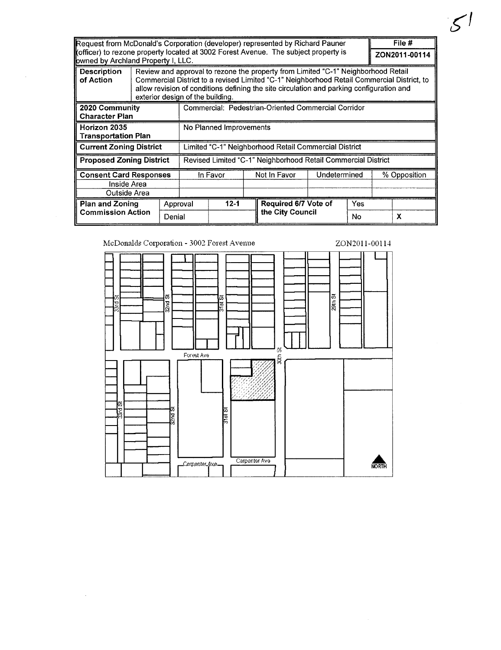| Request from McDonald's Corporation (developer) represented by Richard Pauner<br>(officer) to rezone property located at 3002 Forest Avenue. The subject property is<br>owned by Archland Property I, LLC. |        |                                                                                                                                                                                                                                                                                                                 |                                                               |          |              |                      |              |     | File #<br>ZON2011-00114 |   |
|------------------------------------------------------------------------------------------------------------------------------------------------------------------------------------------------------------|--------|-----------------------------------------------------------------------------------------------------------------------------------------------------------------------------------------------------------------------------------------------------------------------------------------------------------------|---------------------------------------------------------------|----------|--------------|----------------------|--------------|-----|-------------------------|---|
| <b>Description</b><br>of Action                                                                                                                                                                            |        | Review and approval to rezone the property from Limited "C-1" Neighborhood Retail<br>Commercial District to a revised Limited "C-1" Neighborhood Retail Commercial District, to<br>allow revision of conditions defining the site circulation and parking configuration and<br>exterior design of the building. |                                                               |          |              |                      |              |     |                         |   |
| 2020 Community<br><b>Character Plan</b>                                                                                                                                                                    |        |                                                                                                                                                                                                                                                                                                                 | Commercial: Pedestrian-Oriented Commercial Corridor           |          |              |                      |              |     |                         |   |
| Horizon 2035<br><b>Transportation Plan</b>                                                                                                                                                                 |        |                                                                                                                                                                                                                                                                                                                 | No Planned Improvements                                       |          |              |                      |              |     |                         |   |
| <b>Current Zoning District</b>                                                                                                                                                                             |        |                                                                                                                                                                                                                                                                                                                 | Limited "C-1" Neighborhood Retail Commercial District         |          |              |                      |              |     |                         |   |
| <b>Proposed Zoning District</b>                                                                                                                                                                            |        |                                                                                                                                                                                                                                                                                                                 | Revised Limited "C-1" Neighborhood Retail Commercial District |          |              |                      |              |     |                         |   |
| <b>Consent Card Responses</b><br>Inside Area<br>Outside Area                                                                                                                                               |        |                                                                                                                                                                                                                                                                                                                 | In Favor                                                      |          | Not In Favor |                      | Undetermined |     | % Opposition            |   |
| <b>Plan and Zoning</b>                                                                                                                                                                                     |        | Approval                                                                                                                                                                                                                                                                                                        |                                                               | $12 - 1$ |              | Required 6/7 Vote of |              | Yes |                         |   |
| <b>Commission Action</b>                                                                                                                                                                                   | Denial |                                                                                                                                                                                                                                                                                                                 |                                                               |          |              | the City Council     |              | No  |                         | X |

 $51$ 

McDonalds Corporation - 3002 Forest Avenue

 $\sim 10^{-11}$ 

 $\sim$ 



 $\sim$   $\sim$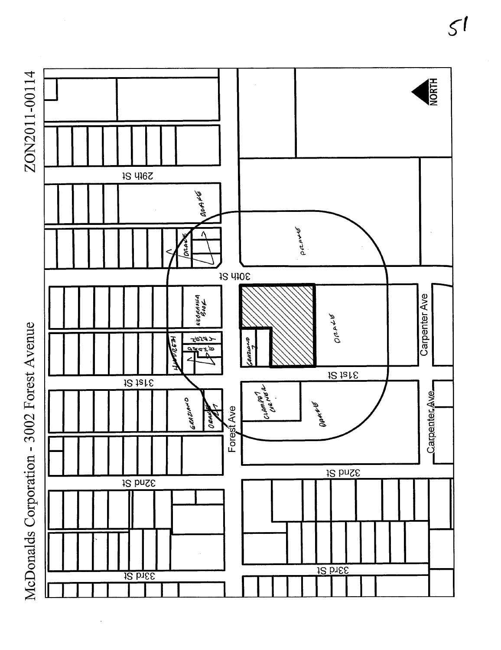



 $5<sub>1</sub>$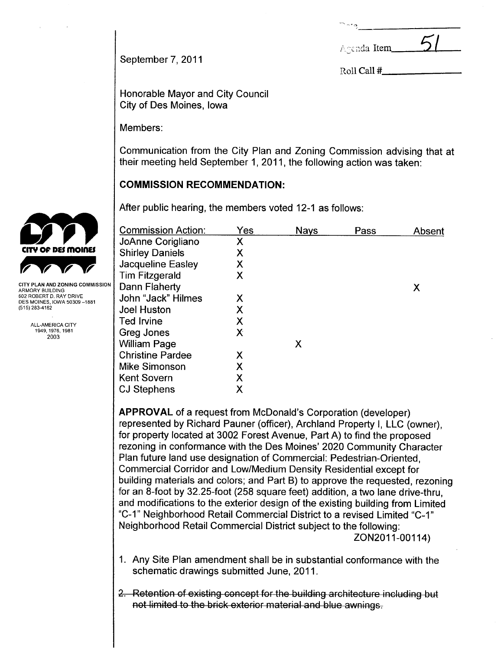| $~\hat{~}$ $~\hat{~}$ |  |
|-----------------------|--|
| Agenda Item           |  |

September 7,2011

Roll Call #

Honorable Mayor and City Council City of Des Moines, Iowa

Members:

Communication from the City Plan and Zoning Commission advising that at their meeting held September 1, 2011, the following action was taken:

# COMMISSION RECOMMENDATION:

After public hearing, the members voted 12-1 as follows:

|                              | Absent |
|------------------------------|--------|
| Χ<br>JoAnne Corigliano       |        |
| <b>Shirley Daniels</b><br>Χ  |        |
| Χ<br>Jacqueline Easley       |        |
| <b>Tim Fitzgerald</b><br>Χ   |        |
| Dann Flaherty<br>X           |        |
| John "Jack" Hilmes<br>Х      |        |
| Χ<br><b>Joel Huston</b>      |        |
| Χ<br><b>Ted Irvine</b>       |        |
| Χ<br>Greg Jones              |        |
| <b>William Page</b><br>X     |        |
| <b>Christine Pardee</b><br>Χ |        |
| Χ<br>Mike Simonson           |        |
| Χ<br><b>Kent Sovern</b>      |        |
| Χ<br><b>CJ Stephens</b>      |        |

APPROVAL of a request from McDonald's Corporation (developer) represented by Richard Pauner (officer), Archland Property i, LLC (owner), for property located at 3002 Forest Avenue, Part A) to find the proposed rezoning in conformance with the Des Moines' 2020 Community Character Plan future land use designation of Commercial: Pedestrian-Oriented, Commercial Corridor and Low/Medium Density Residential except for building materials and colors; and Part B) to approve the requested, rezoning for an 8-foot by 32.25-foot (258 square feet) addition, a two lane drive-thru, and modifications to the exterior design of the existing building from Limited "C-1" Neighborhood Retail Commercial District to a revised Limited "C-1" Neighborhood Retail Commercial District subject to the following: ZON2011-00114)

- 1. Any Site Plan amendment shall be in substantial conformance with the schematic drawings submitted June, 2011.
- 2. Retention of existing concept for the building architecture including but not limited to the brick exterior material and blue awnings.



ARMORY BUILDING 602 ROBERT D. RAY DRIVE DES MOINES, IOWA 50309 -1881 (515) 283-4182

> ALL-AMERICA CITY 1949,1976,1981 2003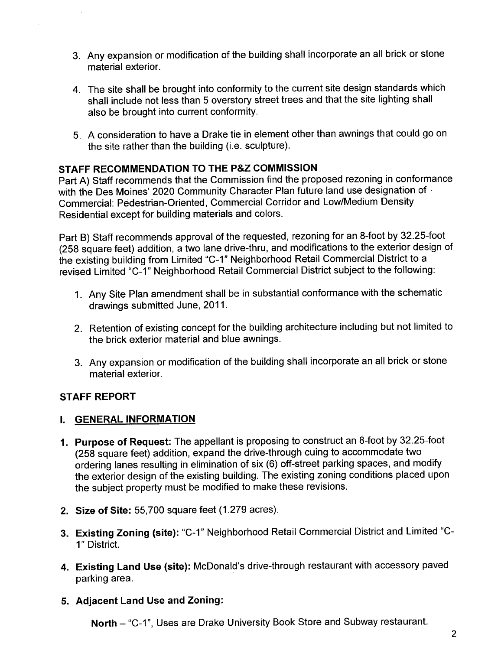- 3. Any expansion or modification of the building shall incorporate an all brick or stone material exterior.
- 4. The site shall be brought into conformity to the current site design standards which shall include not less than 5 overstory street trees and that the site lighting shall also be brought into current conformity.
- 5. A consideration to have a Drake tie in element other than awnings that could go on the site rather than the building (i.e. sculpture).

# STAFF RECOMMENDATION TO THE P&Z COMMISSION

Part A) Staff recommends that the Commission find the proposed rezoning in conformance with the Des Moines' 2020 Community Character Plan future land use designation of . Commercial: Pedestrian-Oriented, Commercial Corridor and Low/Medium Density Residential except for building materials and colors.

Part B) Staff recommends approval of the requested, rezoning for an 8-foot by 32.25-foot (258 square feet) addition, a two lane drive-thru, and modifications to the exterior design of the existing building from Limited "C-1" Neighborhood Retail Commercial District to a revised Limited "C-1" Neighborhood Retail Commercial District subject to the following:

- 1. Any Site Plan amendment shall be in substantial conformance with the schematic drawings submitted June, 2011.
- 2. Retention of existing concept for the building architecture including but not limited to the brick exterior material and blue awnings.
- 3. Any expansion or modification of the building shall incorporate an all brick or stone material exterior.

# STAFF REPORT

# I. GENERAL INFORMATION

- 1. Purpose of Request: The appellant is proposing to construct an 8-foot by 32.25-foot (258 square feet) addition, expand the drive-through cuing to accommodate two ordering lanes resulting in elimination of six (6) off-street parking spaces, and modify the exterior design of the existing building. The existing zoning conditions placed upon the subject property must be modified to make these revisions.
- 2. Size of Site: 55,700 square feet (1.279 acres).
- 3. Existing Zoning (site): "C-1" Neighborhood Retail Commercial District and Limited "C-1" District.
- 4. Existing Land Use (site): McDonald's drive-through restaurant with accessory paved parking area.

# 5. Adjacent Land Use and Zoning:

North - "C-1", Uses are Drake University Book Store and Subway restaurant.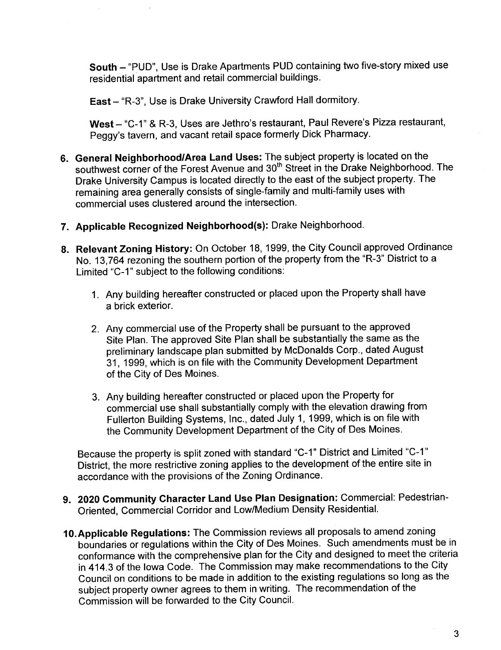South - "PUD", Use is Drake Apartments PUD containing two five-story mixed use residential apartment and retail commercial buildings.

East - "R-3", Use is Drake University Crawford Hall dormitory.

West - "C-1" & R-3, Uses are Jethro's restaurant, Paul Revere's Pizza restaurant, Peggy's tavern, and vacant retail space formerly Dick Pharmacy.

- 6. General Neighborhood/Area Land Uses: The subject property is located on the southwest corner of the Forest Avenue and 30<sup>th</sup> Street in the Drake Neighborhood. The Drake University Campus is located directly to the east of the subject property. The remaining area generally consists of single-family and multi-family uses with commercial uses clustered around the intersection.
- 7. Applicable Recognized Neighborhood(s): Drake Neighborhood.
- 8. Relevant Zoning History: On October 18, 1999, the City Council approved Ordinance No. 13,764 rezoning the southern portion of the property from the "R-3" District to a Limited "C-1" subject to the following conditions:
	- 1. Any building hereafter constructed or placed upon the Property shall have a brick exterior.
	- 2. Any commercial use of the Property shall be pursuant to the approved Site Plan. The approved Site Plan shall be substantially the same as the preliminary landscape plan submitted by McDonalds Corp., dated August 31, 1999, which is on file with the Community Development Department of the City of Des Moines.
	- 3. Any building hereafter constructed or placed upon the Property for commercial use shall substantially comply with the elevation drawing from Fullerton Building Systems, Inc., dated July 1, 1999, which is on file with the Community Development Department of the City of Des Moines.

Because the property is split zoned with standard "C\_1" District and Limited "C-1" District, the more restrictive zoning applies to the development of the entire site in accordance with the provisions of the Zoning Ordinance.

- 9. 2020 Community Character Land Use Plan Designation: Commercial: Pedestrian-Oriented, Commercial Corridor and Low/Medium Density ResidentiaL.
- 10.Applicable Regulations: The Commission reviews all proposals to amend zoning boundaries or regulations within the City of Des Moines. Such amendments must be in conformance with the comprehensive plan for the City and designed to meet the criteria in 414.3 of the Iowa Code. The Commission may make recommendations to the City Council on conditions to be made in addition to the existing regulations so long as the subject property owner agrees to them in writing. The recommendation of the Commission will be forwarded to the City CounciL.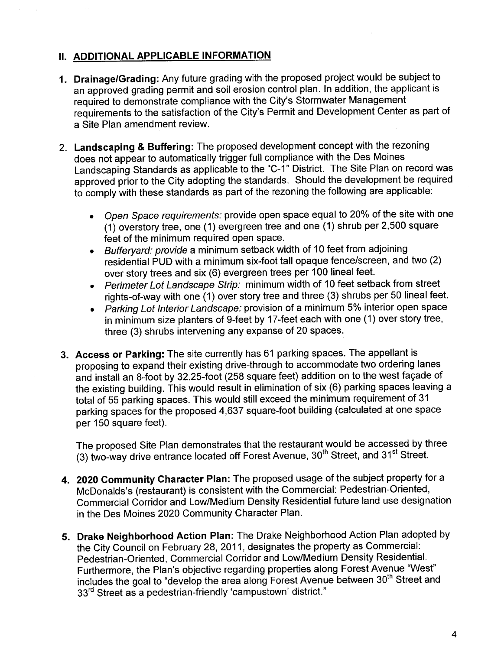# II. ADDITIONAL APPLICABLE INFORMATION

- 1. Drainage/Grading: Any future grading with the proposed project would be subject to an approved grading permit and soil erosion control plan. In addition, the applicant is required to demonstrate compliance with the City's Stormwater Management requirements to the satisfaction of the City's Permit and Development Center as part of a Site Plan amendment review.
- 2. Landscaping & Buffering: The proposed development concept with the rezoning does not appear to automatically trigger full compliance with the Des Moines Landscaping Standards as applicable to the "C-1" District. The Site Plan on record was approved prior to the City adopting the standards. Should the development be required to comply with these standards as part of the rezoning the following are applicable:
	- . Open Space requirements: provide open space equal to 20% of the site with one (1) overstory tree, one (1) evergreen tree and one (1) shrub per 2,500 square feet of the minimum required open space.
	- . Bufferyard: provide a minimum setback width of 10 feet from adjoining residential PUD with a minimum six-foot tall opaque fence/screen, and two (2) over story trees and six (6) evergreen trees per 100 lineal feet.
	- . Perimeter Lot Landscape Strip: minimum width of 10 feet setback from street rights-of-way with one (1) over story tree and three (3) shrubs per 50 lineal feet.
	- . Parking Lot Interior Landscape: provision of a minimum 5% interior open space in minimum size planters of 9-feet by 17 -feet each with one (1) over story tree, three (3) shrubs intervening any expanse of 20 spaces.
- 3. Access or Parking: The site currently has 61 parking spaces. The appellant is proposing to expand their existing drive-through to accommodate two ordering lanes and install an 8-foot by 32.25-foot (258 square feet) addition on to the west façade of the existing building. This would result in elimination of six (6) parking spaces leaving a total of 55 parking spaces. This would still exceed the minimum requirement of 31 parking spaces for the proposed 4,637 square-foot building (calculated at one space per 150 square feet).

The proposed Site Plan demonstrates that the restaurant would be accessed by three (3) two-way drive entrance located off Forest Avenue, 30<sup>th</sup> Street, and 31<sup>st</sup> Street.

- 4. 2020 Community Character Plan: The proposed usage of the subject property for a McDonalds's (restaurant) is consistent with the Commercial: Pedestrian-Oriented, Commercial Corridor and Low/Medium Density Residential future land use designation in the Des Moines 2020 Community Character Plan.
- 5. Drake Neighborhood Action Plan: The Drake Neighborhood Action Plan adopted by the City Council on February 28, 2011, designates the property as Commercial: Pedestrian-Oriented, Commercial Corridor and Low/Medium Density ResidentiaL. Furthermore, the Plan's objective regarding properties along Forest Avenue "West" includes the goal to "develop the area along Forest Avenue between 30<sup>th</sup> Street and 33<sup>rd</sup> Street as a pedestrian-friendly 'campustown' district."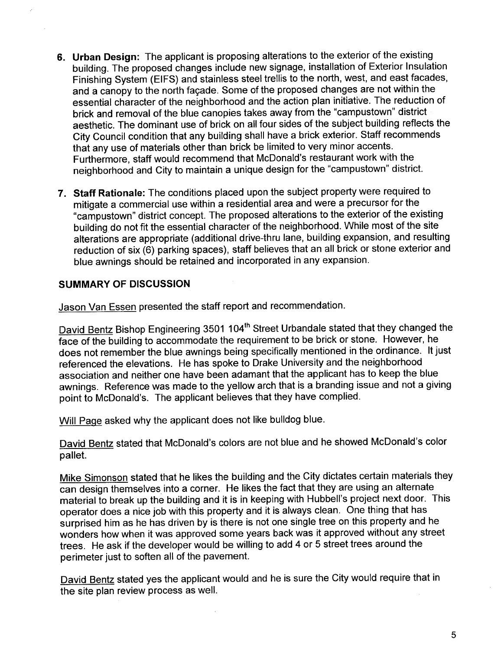- 6. Urban Design: The applicant is proposing alterations to the exterior of the existing building. The proposed changes include new signage, installation of Exterior Insulation Finishing System (EIFS) and stainless steel trellis to the north, west, and east facades, and a canopy to the north façade. Some of the proposed changes are not within the essential character of the neighborhood and the action plan initiative. The reduction of brick and removal of the blue canopies takes away from the "campustown" district aesthetic. The dominant use of brick on all four sides of the subject building reflects the City Council condition that any building shall have a brick exterior. Staff recommends that any use of materials other than brick be limited to very minor accents. Furthermore, staff would recommend that McDonald's restaurant work with the neighborhood and City to maintain a unique design for the "campustown" district.
- 7. Staff Rationale: The conditions placed upon the subject property were required to mitigate a commercial use within a residential area and were a precursor for the "campustown" district concept. The proposed alterations to the exterior of the existing building do not fit the essential character of the neighborhood. While most of the site alterations are appropriate (additional drive-thru lane, building expansion, and resulting reduction of six (6) parking spaces), staff believes that an all brick or stone exterior and blue awnings should be retained and incorporated in any expansion.

#### SUMMARY OF DISCUSSION

Jason Van Essen presented the staff report and recommendation.

David Bentz Bishop Engineering 3501 104<sup>th</sup> Street Urbandale stated that they changed the face of the building to accommodate the requirement to be brick or stone. However, he does not remember the blue awnings being specifically mentioned in the ordinance. It just referenced the elevations. He has spoke to Drake University and the neighborhood association and neither one have been adamant that the applicant has to keep the blue awnings. Reference was made to the yellow arch that is a branding issue and not a giving point to McDonald's. The applicant believes that they have complied.

Will Paqe asked why the applicant does not like bulldog blue.

David Bentz stated that McDonald's colors are not blue and he showed McDonald's color pallet.

Mike Simonson stated that he likes the building and the City dictates certain materials they can design themselves into a corner. He likes the fact that they are using an alternate material to break up the building and it is in keeping with Hubbell's project next door. This operator does a nice job with this property and it is always clean. One thing that has surprised him as he has driven by is there is not one single tree on this property and he wonders how when it was approved some years back was it approved without any street trees. He ask if the developer would be willing to add 4 or 5 street trees around the perimeter just to soften all of the pavement.

David Bentz stated yes the applicant would and he is sure the City would require that in the site plan review process as welL.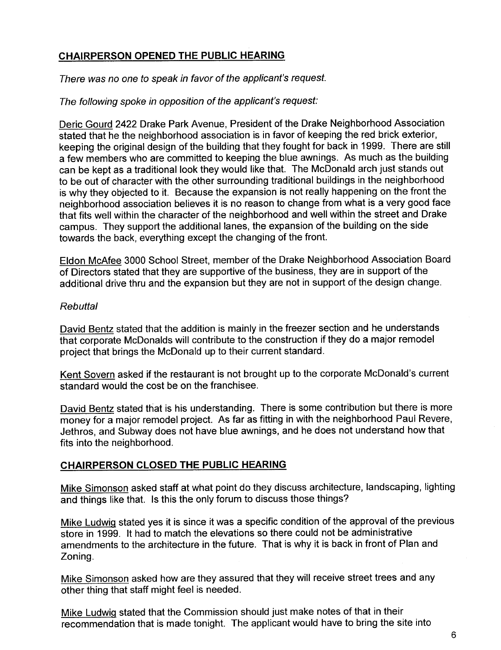# CHAIRPERSON OPENED THE PUBLIC HEARING

#### There was no one to speak in favor of the applicant's request.

#### The following spoke in opposition of the applicant's request:

Deric Gourd 2422 Drake Park Avenue, President of the Drake Neighborhood Association stated that he the neighborhood association is in favor of keeping the red brick exterior, keeping the original design of the building that they fought for back in 1999. There are still a few members who are committed to keeping the blue awnings. As much as the building can be kept as a traditional look they would like that. The McDonald arch just stands out to be out of character with the other surrounding traditional buildings in the neighborhood is why they objected to it. Because the expansion is not really happening on the front the neighborhood association believes it is no reason to change from what is a very good face that fits well within the character of the neighborhood and well within the street and Drake campus. They support the additional lanes, the expansion of the building on the side towards the back, everything except the changing of the front.

Eldon McAfee 3000 School Street, member of the Drake Neighborhood Association Board of Directors stated that they are supportive of the business, they are in support of the additional drive thru and the expansion but they are not in support of the design change.

#### **Rebuttal**

David Bentz stated that the addition is mainly in the freezer section and he understands that corporate McDonalds will contribute to the construction if they do a major remodel project that brings the McDonald up to their current standard.

Kent Sovern asked if the restaurant is not brought up to the corporate McDonald's current standard would the cost be on the franchisee.

David Bentz stated that is his understanding. There is some contribution but there is more money for a major remodel project. As far as fitting in with the neighborhood Paul Revere, Jethros, and Subway does not have blue awnings, and he does not understand how that fits into the neighborhood.

# CHAIRPERSON CLOSED THE PUBLIC HEARING

Mike Simonson asked staff at what point do they discuss architecture, landscaping, lighting and things like that. Is this the only forum to discuss those things?

Mike Ludwiq stated yes it is since it was a specific condition of the approval of the previous store in 1999. It had to match the elevations so there could not be administrative amendments to the architecture in the future. That is why it is back in front of Plan and Zoning.

Mike Simonson asked how are they assured that they will receive street trees and any other thing that staff might feel is needed.

Mike Ludwiq stated that the Commission should just make notes of that in their recommendation that is made tonight. The applicant would have to bring the site into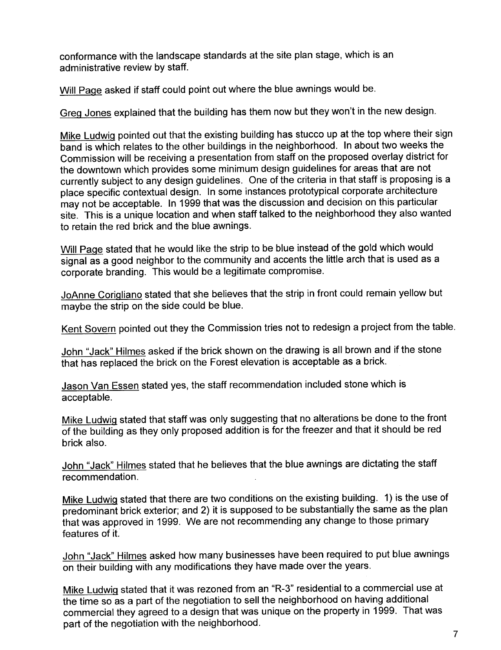conformance with the landscape standards at the site plan stage, which is an administrative review by staff.

Will Paqe asked if staff could point out where the blue awnings would be.

Greq Jones explained that the building has them now but they won't in the new design.

Mike Ludwig pointed out that the existing building has stucco up at the top where their sign band is which relates to the other buildings in the neighborhood. In about two weeks the Commission will be receiving a presentation from staff on the proposed overlay district for the downtown which provides some minimum design guidelines for areas that are not currently subject to any design guidelines. One of the criteria in that staff is proposing is a place specific contextual design. In some instances prototypical corporate architecture may not be acceptable. In 1999 that was the discussion and decision on this particular site. This is a unique location and when staff talked to the neighborhood they also wanted to retain the red brick and the blue awnings.

Will Page stated that he would like the strip to be blue instead of the gold which would signal as a good neighbor to the community and accents the little arch that is used as a corporate branding. This would be a legitimate compromise.

JoAnne Coriqliano stated that she believes that the strip in front could remain yellow but maybe the strip on the side could be blue.

Kent Sovern pointed out they the Commission tries not to redesign a project from the table.

John "Jack" Hilmes asked if the brick shown on the drawing is all brown and if the stone that has replaced the brick on the Forest elevation is acceptable as a brick.

Jason Van Essen stated yes, the staff recommendation included stone which is acceptable.

Mike Ludwiq stated that staff was only suggesting that no alterations be done to the front of the building as they only proposed addition is for the freezer and that it should be red brick also.

John "Jack" Hilmes stated that he believes that the blue awnings are dictating the staff recommendation.

Mike Ludwiq stated that there are two conditions on the existing building. 1) is the use of predominant brick exterior; and 2) it is supposed to be substantially the same as the plan that was approved in 1999. We are not recommending any change to those primary features of it.

John "Jack" Hilmes asked how many businesses have been required to put blue awnings on their building with any modifications they have made over the years.

Mike Ludwiq stated that it was rezoned from an "R-3" residential to a commercial use at the time so as a part of the negotiation to sell the neighborhood on having additional commercial they agreed to a design that was unique on the property in 1999. That was part of the negotiation with the neighborhood.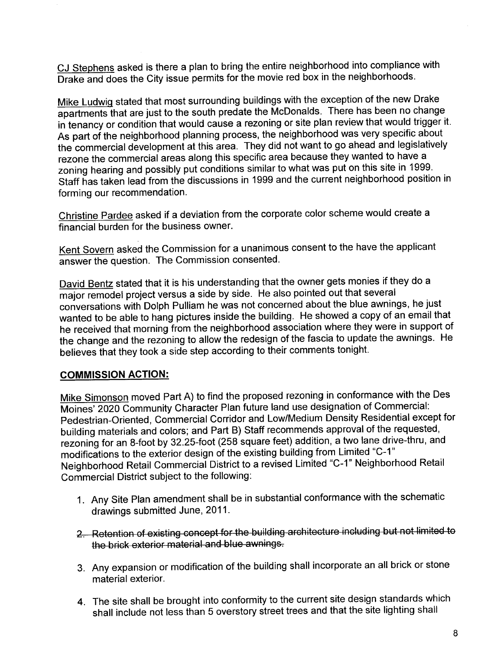CJ Stephens asked is there a plan to bring the entire neighborhood into compliance with Drake and does the City issue permits for the movie red box in the neighborhoods.

Mike Ludwiq stated that most surrounding buildings with the exception of the new Drake apartments that are just to the south predate the McDonalds. There has been no change in tenancy or condition that would cause a rezoning or site plan review that would trigger it. As part of the neighborhood planning process, the neighborhood was very specific about the commercial development at this area. They did not want to go ahead and legislatively rezone the commercial areas along this specific area because they wanted to have a zoning hearing and possibly put conditions similar to what was put on this site in 1999. Staff has taken lead from the discussions in 1999 and the current neighborhood position in forming our recommendation.

Christine Pardee asked if a deviation from the corporate color scheme would create a financial burden for the business owner.

Kent Sovern asked the Commission for a unanimous consent to the have the applicant answer the question. The Commission consented.

David Bentz stated that it is his understanding that the owner gets monies if they do a major remodel project versus a side by side. He also pointed out that several conversations with Dolph Pulliam he was not concerned about the blue awnings, he just wanted to be able to hang pictures inside the building. He showed a copy of an email that he received that morning from the neighborhood association where they were in support of the change and the rezoning to allow the redesign of the fascia to update the awnings. He believes that they took a side step according to their comments tonight.

#### COMMISSION ACTION:

Mike Simonson moved Part A) to find the proposed rezoning in conformance with the Des Moines' 2020 Community Character Plan future land use designation of Commercial: Pedestrian-Oriented, Commercial Corridor and Low/Medium Density Residential except for building materials and colors; and Part B) Staff recommends approval of the requested, rezoning for an 8-foot by 32.25-foot (258 square feet) addition, a two lane drive-thru, and modifications to the exterior design of the existing building from Limited "C\_1" Neighborhood Retail Commercial District to a revised Limited "C\_1" Neighborhood Retail Commercial District subject to the following:

- 1. Any Site Plan amendment shall be in substantial conformance with the schematic drawings submitted June, 2011.
- 2. Retention of existing concept for the building architecture including but not limited to the brick exterior material and blue awnings.
- 3. Any expansion or modification of the building shall incorporate an all brick or stone material exterior.
- 4. The site shall be brought into conformity to the current site design standards which shall include not less than 5 overstory street trees and that the site lighting shall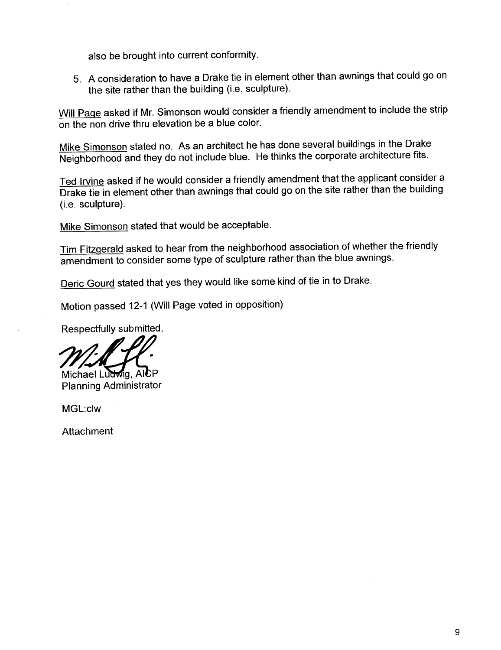also be brought into current conformity.

5. A consideration to have a Drake tie in element other than awnings that could go on the site rather than the building (i.e. sculpture).

Will Page asked if Mr. Simonson would consider a friendly amendment to include the strip on the non drive thru elevation be a blue color.

Mike Simonson stated no. As an architect he has done several buildings in the Drake Neighborhood and they do not include blue. He thinks the corporate architecture fits.

Ted Irvine asked if he would consider a friendly amendment that the applicant consider a Drake tie in element other than awnings that could go on the site rather than the building (i.e. sculpture).

Mike Simonson stated that would be acceptable.

Tim Fitzgerald asked to hear from the neighborhood association of whether the friendly amendment to consider some type of sculpture rather than the blue awnings.

Deric Gourd stated that yes they would like some kind of tie in to Drake.

Motion passed 12-1 (Wil Page voted in opposition)

Respectfully submitted,

Will fl.

MGL:c1w

Attachment